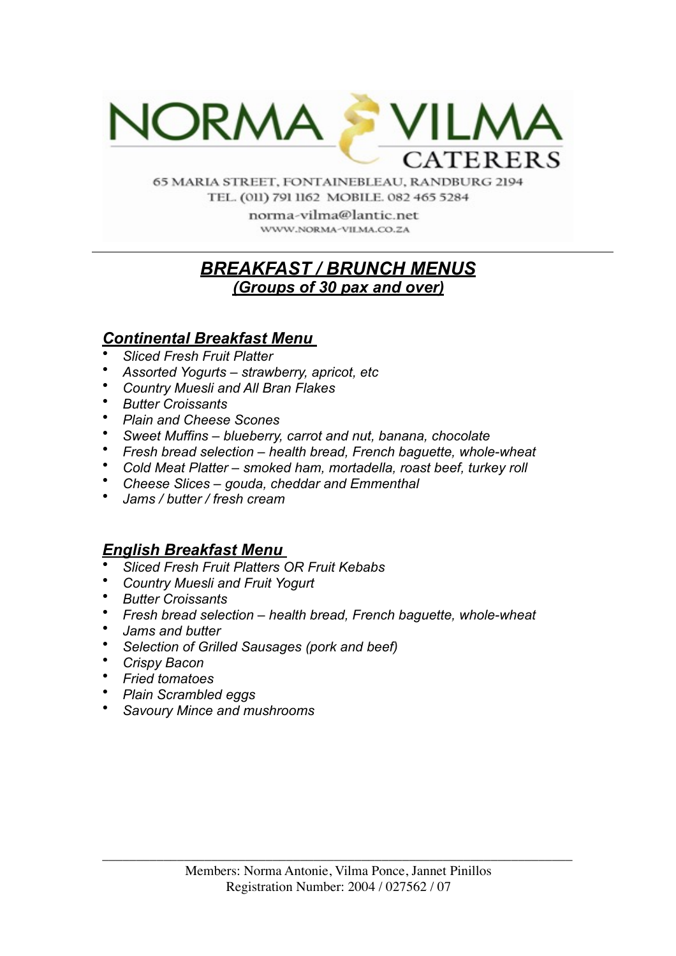

65 MARIA STREET, FONTAINEBLEAU, RANDBURG 2194 TEL. (011) 791 1162 MOBILE. 082 465 5284

> norma-vilma@lantic.net WWW.NORMA-VILMA.CO.ZA

# *BREAKFAST / BRUNCH MENUS (Groups of 30 pax and over)*

#### *Continental Breakfast Menu*

- *Sliced Fresh Fruit Platter*
- *Assorted Yogurts strawberry, apricot, etc*
- *Country Muesli and All Bran Flakes*
- *Butter Croissants*
- *Plain and Cheese Scones*
- *Sweet Muffins blueberry, carrot and nut, banana, chocolate*
- *Fresh bread selection health bread, French baguette, whole-wheat*
- *Cold Meat Platter smoked ham, mortadella, roast beef, turkey roll*
- *Cheese Slices gouda, cheddar and Emmenthal*
- *Jams / butter / fresh cream*

### *English Breakfast Menu*

- *Sliced Fresh Fruit Platters OR Fruit Kebabs*
- *Country Muesli and Fruit Yogurt*
- *Butter Croissants*
- *Fresh bread selection health bread, French baguette, whole-wheat*
- *Jams and butter*
- *Selection of Grilled Sausages (pork and beef)*
- *Crispy Bacon*
- *Fried tomatoes*
- *Plain Scrambled eggs*
- *Savoury Mince and mushrooms*

\_\_\_\_\_\_\_\_\_\_\_\_\_\_\_\_\_\_\_\_\_\_\_\_\_\_\_\_\_\_\_\_\_\_\_\_\_\_\_\_\_\_\_\_\_\_\_\_\_\_\_\_\_\_\_\_\_\_\_\_\_\_\_\_\_\_\_\_\_